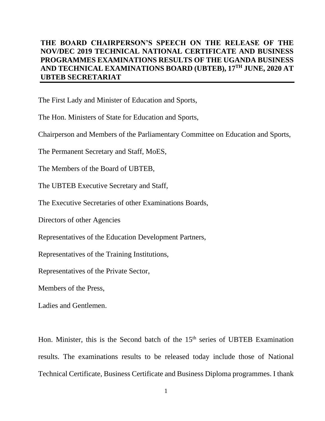## **THE BOARD CHAIRPERSON'S SPEECH ON THE RELEASE OF THE NOV/DEC 2019 TECHNICAL NATIONAL CERTIFICATE AND BUSINESS PROGRAMMES EXAMINATIONS RESULTS OF THE UGANDA BUSINESS AND TECHNICAL EXAMINATIONS BOARD (UBTEB), 17TH JUNE, 2020 AT UBTEB SECRETARIAT**

The First Lady and Minister of Education and Sports,

The Hon. Ministers of State for Education and Sports,

Chairperson and Members of the Parliamentary Committee on Education and Sports,

The Permanent Secretary and Staff, MoES,

The Members of the Board of UBTEB,

The UBTEB Executive Secretary and Staff,

The Executive Secretaries of other Examinations Boards,

Directors of other Agencies

Representatives of the Education Development Partners,

Representatives of the Training Institutions,

Representatives of the Private Sector,

Members of the Press,

Ladies and Gentlemen.

Hon. Minister, this is the Second batch of the  $15<sup>th</sup>$  series of UBTEB Examination results. The examinations results to be released today include those of National Technical Certificate, Business Certificate and Business Diploma programmes. I thank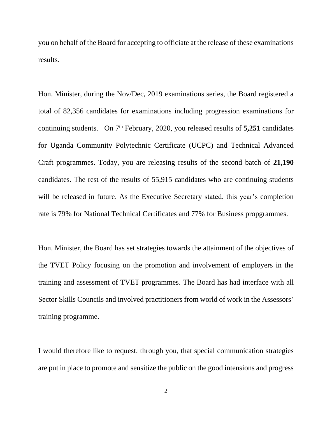you on behalf of the Board for accepting to officiate at the release of these examinations results.

Hon. Minister, during the Nov/Dec, 2019 examinations series, the Board registered a total of 82,356 candidates for examinations including progression examinations for continuing students. On 7<sup>th</sup> February, 2020, you released results of 5,251 candidates for Uganda Community Polytechnic Certificate (UCPC) and Technical Advanced Craft programmes. Today, you are releasing results of the second batch of **21,190** candidates**.** The rest of the results of 55,915 candidates who are continuing students will be released in future. As the Executive Secretary stated, this year's completion rate is 79% for National Technical Certificates and 77% for Business propgrammes.

Hon. Minister, the Board has set strategies towards the attainment of the objectives of the TVET Policy focusing on the promotion and involvement of employers in the training and assessment of TVET programmes. The Board has had interface with all Sector Skills Councils and involved practitioners from world of work in the Assessors' training programme.

I would therefore like to request, through you, that special communication strategies are put in place to promote and sensitize the public on the good intensions and progress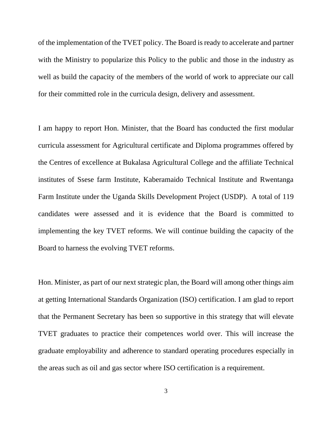of the implementation of the TVET policy. The Board is ready to accelerate and partner with the Ministry to popularize this Policy to the public and those in the industry as well as build the capacity of the members of the world of work to appreciate our call for their committed role in the curricula design, delivery and assessment.

I am happy to report Hon. Minister, that the Board has conducted the first modular curricula assessment for Agricultural certificate and Diploma programmes offered by the Centres of excellence at Bukalasa Agricultural College and the affiliate Technical institutes of Ssese farm Institute, Kaberamaido Technical Institute and Rwentanga Farm Institute under the Uganda Skills Development Project (USDP). A total of 119 candidates were assessed and it is evidence that the Board is committed to implementing the key TVET reforms. We will continue building the capacity of the Board to harness the evolving TVET reforms.

Hon. Minister, as part of our next strategic plan, the Board will among other things aim at getting International Standards Organization (ISO) certification. I am glad to report that the Permanent Secretary has been so supportive in this strategy that will elevate TVET graduates to practice their competences world over. This will increase the graduate employability and adherence to standard operating procedures especially in the areas such as oil and gas sector where ISO certification is a requirement.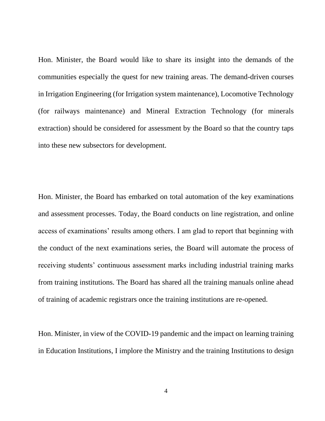Hon. Minister, the Board would like to share its insight into the demands of the communities especially the quest for new training areas. The demand-driven courses in Irrigation Engineering (for Irrigation system maintenance), Locomotive Technology (for railways maintenance) and Mineral Extraction Technology (for minerals extraction) should be considered for assessment by the Board so that the country taps into these new subsectors for development.

Hon. Minister, the Board has embarked on total automation of the key examinations and assessment processes. Today, the Board conducts on line registration, and online access of examinations' results among others. I am glad to report that beginning with the conduct of the next examinations series, the Board will automate the process of receiving students' continuous assessment marks including industrial training marks from training institutions. The Board has shared all the training manuals online ahead of training of academic registrars once the training institutions are re-opened.

Hon. Minister, in view of the COVID-19 pandemic and the impact on learning training in Education Institutions, I implore the Ministry and the training Institutions to design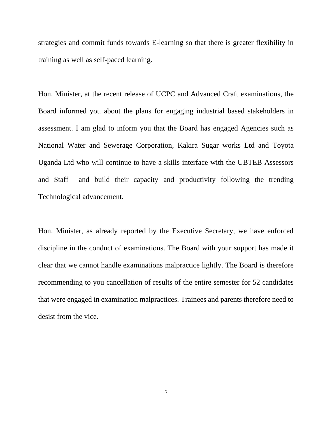strategies and commit funds towards E-learning so that there is greater flexibility in training as well as self-paced learning.

Hon. Minister, at the recent release of UCPC and Advanced Craft examinations, the Board informed you about the plans for engaging industrial based stakeholders in assessment. I am glad to inform you that the Board has engaged Agencies such as National Water and Sewerage Corporation, Kakira Sugar works Ltd and Toyota Uganda Ltd who will continue to have a skills interface with the UBTEB Assessors and Staff and build their capacity and productivity following the trending Technological advancement.

Hon. Minister, as already reported by the Executive Secretary, we have enforced discipline in the conduct of examinations. The Board with your support has made it clear that we cannot handle examinations malpractice lightly. The Board is therefore recommending to you cancellation of results of the entire semester for 52 candidates that were engaged in examination malpractices. Trainees and parents therefore need to desist from the vice.